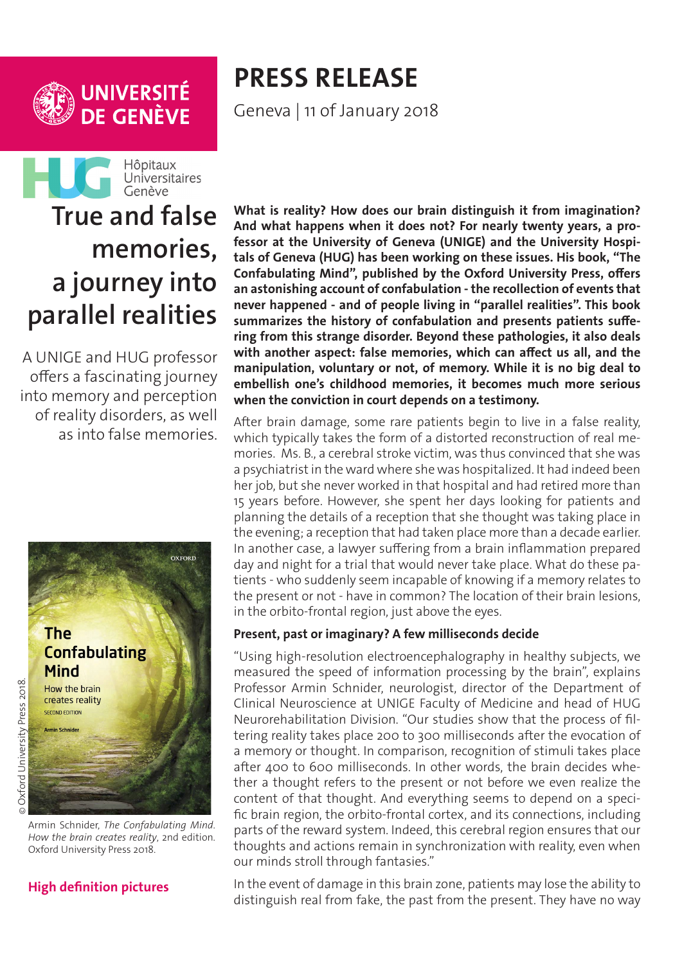

## **PRESS RELEASE** Geneva | 11 of January 2018



# **memories, a journey into parallel realities**

A UNIGE and HUG professor offers a fascinating journey into memory and perception of reality disorders, as well as into false memories.



#### **[High definition pictures](http://phototheque.unige.ch/documents/facets?newFacet=mot.cle.marc%3DCdP_180110_Schnider&clearFacets=1)**

**What is reality? How does our brain distinguish it from imagination? And what happens when it does not? For nearly twenty years, a professor at the University of Geneva (UNIGE) and the University Hospitals of Geneva (HUG) has been working on these issues. His book, "The Confabulating Mind", published by the Oxford University Press, offers an astonishing account of confabulation - the recollection of events that never happened - and of people living in "parallel realities". This book summarizes the history of confabulation and presents patients suffering from this strange disorder. Beyond these pathologies, it also deals with another aspect: false memories, which can affect us all, and the manipulation, voluntary or not, of memory. While it is no big deal to embellish one's childhood memories, it becomes much more serious when the conviction in court depends on a testimony.** 

After brain damage, some rare patients begin to live in a false reality, which typically takes the form of a distorted reconstruction of real memories. Ms. B., a cerebral stroke victim, was thus convinced that she was a psychiatrist in the ward where she was hospitalized. It had indeed been her job, but she never worked in that hospital and had retired more than 15 years before. However, she spent her days looking for patients and planning the details of a reception that she thought was taking place in the evening; a reception that had taken place more than a decade earlier. In another case, a lawyer suffering from a brain inflammation prepared day and night for a trial that would never take place. What do these patients - who suddenly seem incapable of knowing if a memory relates to the present or not - have in common? The location of their brain lesions, in the orbito-frontal region, just above the eyes.

#### **Present, past or imaginary? A few milliseconds decide**

"Using high-resolution electroencephalography in healthy subjects, we measured the speed of information processing by the brain", explains Professor Armin Schnider, neurologist, director of the Department of Clinical Neuroscience at UNIGE Faculty of Medicine and head of HUG Neurorehabilitation Division. "Our studies show that the process of filtering reality takes place 200 to 300 milliseconds after the evocation of a memory or thought. In comparison, recognition of stimuli takes place after 400 to 600 milliseconds. In other words, the brain decides whether a thought refers to the present or not before we even realize the content of that thought. And everything seems to depend on a specific brain region, the orbito-frontal cortex, and its connections, including parts of the reward system. Indeed, this cerebral region ensures that our thoughts and actions remain in synchronization with reality, even when our minds stroll through fantasies."

In the event of damage in this brain zone, patients may lose the ability to distinguish real from fake, the past from the present. They have no way